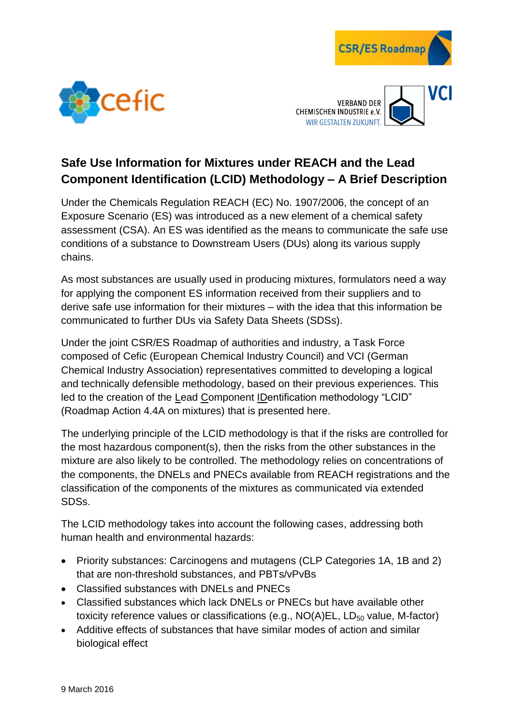





## **Safe Use Information for Mixtures under REACH and the Lead Component Identification (LCID) Methodology – A Brief Description**

Under the Chemicals Regulation REACH (EC) No. 1907/2006, the concept of an Exposure Scenario (ES) was introduced as a new element of a chemical safety assessment (CSA). An ES was identified as the means to communicate the safe use conditions of a substance to Downstream Users (DUs) along its various supply chains.

As most substances are usually used in producing mixtures, formulators need a way for applying the component ES information received from their suppliers and to derive safe use information for their mixtures – with the idea that this information be communicated to further DUs via Safety Data Sheets (SDSs).

Under the joint CSR/ES Roadmap of authorities and industry, a Task Force composed of Cefic (European Chemical Industry Council) and VCI (German Chemical Industry Association) representatives committed to developing a logical and technically defensible methodology, based on their previous experiences. This led to the creation of the Lead Component IDentification methodology "LCID" (Roadmap Action 4.4A on mixtures) that is presented here.

The underlying principle of the LCID methodology is that if the risks are controlled for the most hazardous component(s), then the risks from the other substances in the mixture are also likely to be controlled. The methodology relies on concentrations of the components, the DNELs and PNECs available from REACH registrations and the classification of the components of the mixtures as communicated via extended SDSs.

The LCID methodology takes into account the following cases, addressing both human health and environmental hazards:

- Priority substances: Carcinogens and mutagens (CLP Categories 1A, 1B and 2) that are non-threshold substances, and PBTs/vPvBs
- Classified substances with DNELs and PNECs
- Classified substances which lack DNELs or PNECs but have available other toxicity reference values or classifications (e.g.,  $NO(A)EL$ ,  $LD_{50}$  value, M-factor)
- Additive effects of substances that have similar modes of action and similar biological effect